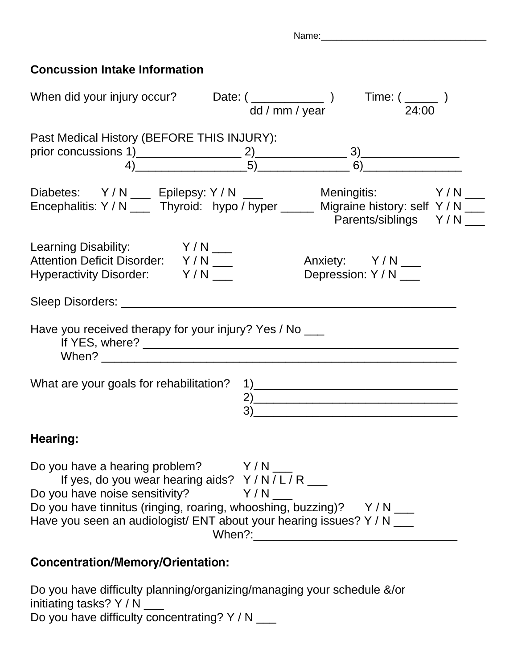Name:\_\_\_\_\_\_\_\_\_\_\_\_\_\_\_\_\_\_\_\_\_\_\_\_\_\_\_\_\_\_\_\_

## **Concussion Intake Information**

| prior concussions 1) $\underbrace{2) \qquad \qquad 3) \qquad \qquad }$<br>4)                                                                                                                                                                                                                                                                                                              |
|-------------------------------------------------------------------------------------------------------------------------------------------------------------------------------------------------------------------------------------------------------------------------------------------------------------------------------------------------------------------------------------------|
| Diabetes: Y/N ___ Epilepsy: Y/N ___ Meningitis: Y/N ___<br>Encephalitis: Y/N ___ Thyroid: hypo/hyper ____ Migraine history: self Y/N ___<br>Parents/siblings Y/N_                                                                                                                                                                                                                         |
| Anxiety: Y/N ___<br>Depression: Y / N ___                                                                                                                                                                                                                                                                                                                                                 |
|                                                                                                                                                                                                                                                                                                                                                                                           |
|                                                                                                                                                                                                                                                                                                                                                                                           |
| 2)                                                                                                                                                                                                                                                                                                                                                                                        |
|                                                                                                                                                                                                                                                                                                                                                                                           |
|                                                                                                                                                                                                                                                                                                                                                                                           |
| dd / mm / year 24:00<br>Past Medical History (BEFORE THIS INJURY):<br>Have you received therapy for your injury? Yes / No ___<br>Do you have a hearing problem? Y/N<br>If yes, do you wear hearing aids? $Y/N/L/R$ ___<br>Y/N<br>Do you have tinnitus (ringing, roaring, whooshing, buzzing)? Y/N ___<br>Have you seen an audiologist/ ENT about your hearing issues? Y / N ___<br>When?: |

## **Concentration/Memory/Orientation:**

Do you have difficulty planning/organizing/managing your schedule &/or initiating tasks?  $Y / N$ \_\_\_ Do you have difficulty concentrating?  $Y / N$  \_\_\_